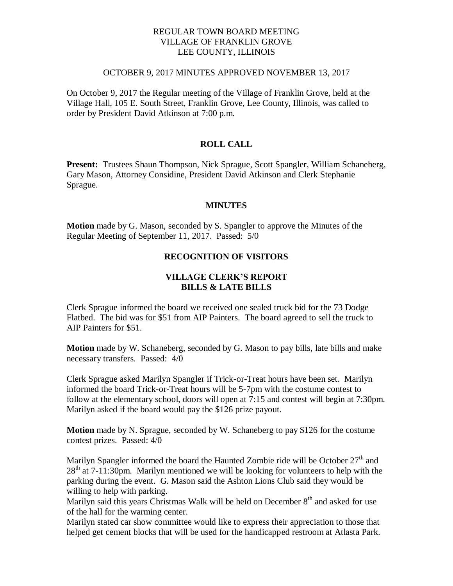## REGULAR TOWN BOARD MEETING VILLAGE OF FRANKLIN GROVE LEE COUNTY, ILLINOIS

#### OCTOBER 9, 2017 MINUTES APPROVED NOVEMBER 13, 2017

On October 9, 2017 the Regular meeting of the Village of Franklin Grove, held at the Village Hall, 105 E. South Street, Franklin Grove, Lee County, Illinois, was called to order by President David Atkinson at 7:00 p.m.

# **ROLL CALL**

**Present:** Trustees Shaun Thompson, Nick Sprague, Scott Spangler, William Schaneberg, Gary Mason, Attorney Considine, President David Atkinson and Clerk Stephanie Sprague.

#### **MINUTES**

**Motion** made by G. Mason, seconded by S. Spangler to approve the Minutes of the Regular Meeting of September 11, 2017. Passed: 5/0

## **RECOGNITION OF VISITORS**

# **VILLAGE CLERK'S REPORT BILLS & LATE BILLS**

Clerk Sprague informed the board we received one sealed truck bid for the 73 Dodge Flatbed. The bid was for \$51 from AIP Painters. The board agreed to sell the truck to AIP Painters for \$51.

**Motion** made by W. Schaneberg, seconded by G. Mason to pay bills, late bills and make necessary transfers. Passed: 4/0

Clerk Sprague asked Marilyn Spangler if Trick-or-Treat hours have been set. Marilyn informed the board Trick-or-Treat hours will be 5-7pm with the costume contest to follow at the elementary school, doors will open at 7:15 and contest will begin at 7:30pm. Marilyn asked if the board would pay the \$126 prize payout.

**Motion** made by N. Sprague, seconded by W. Schaneberg to pay \$126 for the costume contest prizes. Passed: 4/0

Marilyn Spangler informed the board the Haunted Zombie ride will be October  $27<sup>th</sup>$  and  $28<sup>th</sup>$  at 7-11:30pm. Marilyn mentioned we will be looking for volunteers to help with the parking during the event. G. Mason said the Ashton Lions Club said they would be willing to help with parking.

Marilyn said this years Christmas Walk will be held on December  $8<sup>th</sup>$  and asked for use of the hall for the warming center.

Marilyn stated car show committee would like to express their appreciation to those that helped get cement blocks that will be used for the handicapped restroom at Atlasta Park.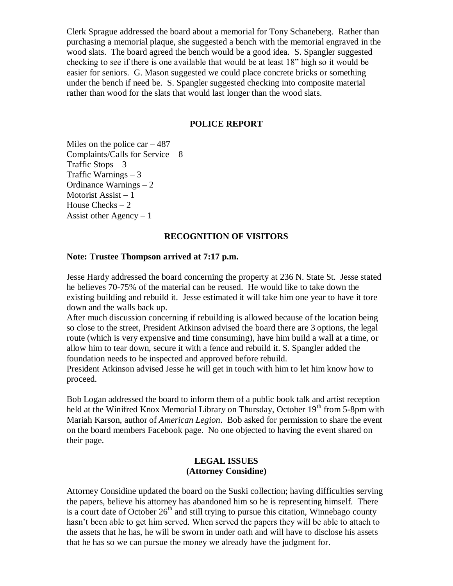Clerk Sprague addressed the board about a memorial for Tony Schaneberg. Rather than purchasing a memorial plaque, she suggested a bench with the memorial engraved in the wood slats. The board agreed the bench would be a good idea. S. Spangler suggested checking to see if there is one available that would be at least 18" high so it would be easier for seniors. G. Mason suggested we could place concrete bricks or something under the bench if need be. S. Spangler suggested checking into composite material rather than wood for the slats that would last longer than the wood slats.

### **POLICE REPORT**

Miles on the police  $car - 487$ Complaints/Calls for Service – 8 Traffic Stops – 3 Traffic Warnings  $-3$ Ordinance Warnings – 2 Motorist Assist  $-1$ House Checks – 2 Assist other Agency  $-1$ 

## **RECOGNITION OF VISITORS**

### **Note: Trustee Thompson arrived at 7:17 p.m.**

Jesse Hardy addressed the board concerning the property at 236 N. State St. Jesse stated he believes 70-75% of the material can be reused. He would like to take down the existing building and rebuild it. Jesse estimated it will take him one year to have it tore down and the walls back up.

After much discussion concerning if rebuilding is allowed because of the location being so close to the street, President Atkinson advised the board there are 3 options, the legal route (which is very expensive and time consuming), have him build a wall at a time, or allow him to tear down, secure it with a fence and rebuild it. S. Spangler added the foundation needs to be inspected and approved before rebuild.

President Atkinson advised Jesse he will get in touch with him to let him know how to proceed.

Bob Logan addressed the board to inform them of a public book talk and artist reception held at the Winifred Knox Memorial Library on Thursday, October  $19<sup>th</sup>$  from 5-8pm with Mariah Karson, author of *American Legion*. Bob asked for permission to share the event on the board members Facebook page. No one objected to having the event shared on their page.

#### **LEGAL ISSUES (Attorney Considine)**

Attorney Considine updated the board on the Suski collection; having difficulties serving the papers, believe his attorney has abandoned him so he is representing himself. There is a court date of October  $26<sup>th</sup>$  and still trying to pursue this citation, Winnebago county hasn't been able to get him served. When served the papers they will be able to attach to the assets that he has, he will be sworn in under oath and will have to disclose his assets that he has so we can pursue the money we already have the judgment for.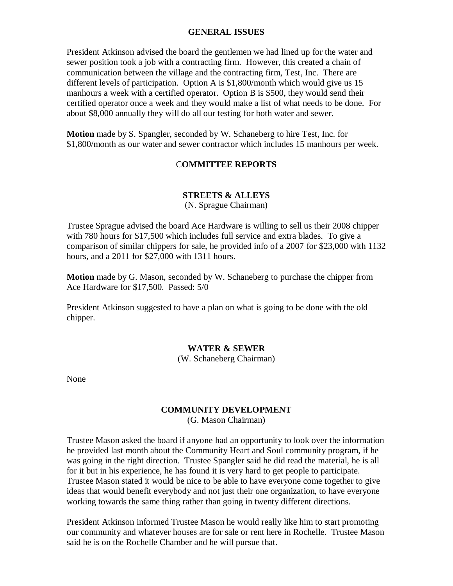### **GENERAL ISSUES**

President Atkinson advised the board the gentlemen we had lined up for the water and sewer position took a job with a contracting firm. However, this created a chain of communication between the village and the contracting firm, Test, Inc. There are different levels of participation. Option A is \$1,800/month which would give us 15 manhours a week with a certified operator. Option B is \$500, they would send their certified operator once a week and they would make a list of what needs to be done. For about \$8,000 annually they will do all our testing for both water and sewer.

**Motion** made by S. Spangler, seconded by W. Schaneberg to hire Test, Inc. for \$1,800/month as our water and sewer contractor which includes 15 manhours per week.

## C**OMMITTEE REPORTS**

# **STREETS & ALLEYS**

(N. Sprague Chairman)

Trustee Sprague advised the board Ace Hardware is willing to sell us their 2008 chipper with 780 hours for \$17,500 which includes full service and extra blades. To give a comparison of similar chippers for sale, he provided info of a 2007 for \$23,000 with 1132 hours, and a 2011 for \$27,000 with 1311 hours.

**Motion** made by G. Mason, seconded by W. Schaneberg to purchase the chipper from Ace Hardware for \$17,500. Passed: 5/0

President Atkinson suggested to have a plan on what is going to be done with the old chipper.

#### **WATER & SEWER**

(W. Schaneberg Chairman)

None

#### **COMMUNITY DEVELOPMENT**

(G. Mason Chairman)

Trustee Mason asked the board if anyone had an opportunity to look over the information he provided last month about the Community Heart and Soul community program, if he was going in the right direction. Trustee Spangler said he did read the material, he is all for it but in his experience, he has found it is very hard to get people to participate. Trustee Mason stated it would be nice to be able to have everyone come together to give ideas that would benefit everybody and not just their one organization, to have everyone working towards the same thing rather than going in twenty different directions.

President Atkinson informed Trustee Mason he would really like him to start promoting our community and whatever houses are for sale or rent here in Rochelle. Trustee Mason said he is on the Rochelle Chamber and he will pursue that.